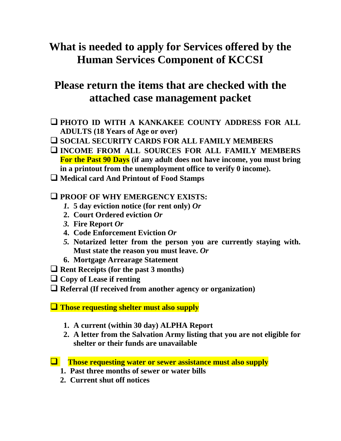# **What is needed to apply for Services offered by the Human Services Component of KCCSI**

## **Please return the items that are checked with the attached case management packet**

- ❑ **PHOTO ID WITH A KANKAKEE COUNTY ADDRESS FOR ALL ADULTS (18 Years of Age or over)**
- ❑ **SOCIAL SECURITY CARDS FOR ALL FAMILY MEMBERS**
- ❑ **INCOME FROM ALL SOURCES FOR ALL FAMILY MEMBERS For the Past 90 Days (if any adult does not have income, you must bring in a printout from the unemployment office to verify 0 income).**
- ❑ **Medical card And Printout of Food Stamps**
- ❑ **PROOF OF WHY EMERGENCY EXISTS:**
	- *1.* **5 day eviction notice (for rent only)** *Or*
	- **2. Court Ordered eviction** *Or*
	- *3.* **Fire Report** *Or*
	- **4. Code Enforcement Eviction** *Or*
	- *5.* **Notarized letter from the person you are currently staying with. Must state the reason you must leave.** *Or*
	- **6. Mortgage Arrearage Statement**
- ❑ **Rent Receipts (for the past 3 months)**
- ❑ **Copy of Lease if renting**
- ❑ **Referral (If received from another agency or organization)**
- ❑ **Those requesting shelter must also supply**
	- **1. A current (within 30 day) ALPHA Report**
	- **2. A letter from the Salvation Army listing that you are not eligible for shelter or their funds are unavailable**
- ❑ **Those requesting water or sewer assistance must also supply**
	- **1. Past three months of sewer or water bills**
	- **2. Current shut off notices**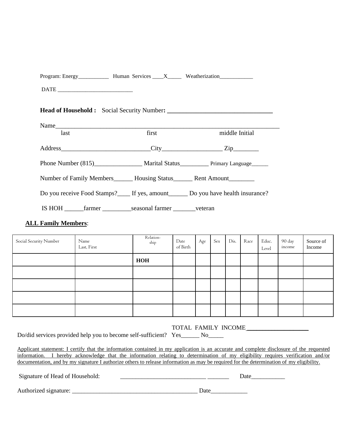| Program: Energy <sub>_____________</sub> Human Services ____X______ Weatherization____________________________ |                                                                                                                |                |
|----------------------------------------------------------------------------------------------------------------|----------------------------------------------------------------------------------------------------------------|----------------|
|                                                                                                                |                                                                                                                |                |
| <b>Head of Household :</b> Social Security Number: ___________________________________                         |                                                                                                                |                |
| Name                                                                                                           |                                                                                                                |                |
| last                                                                                                           | first that the same state of the state of the state of the state of the state of the state of the state of the | middle Initial |
|                                                                                                                |                                                                                                                |                |
|                                                                                                                |                                                                                                                |                |
| Phone Number (815) Marital Status Primary Language                                                             |                                                                                                                |                |
| Number of Family Members_______ Housing Status________ Rent Amount_________                                    |                                                                                                                |                |
| Do you receive Food Stamps?____ If yes, amount_______ Do you have health insurance?                            |                                                                                                                |                |
| IS HOH _________ farmer _______________seasonal farmer ___________veteran                                      |                                                                                                                |                |
|                                                                                                                |                                                                                                                |                |

#### **ALL Family Members**:

| Social Security Number | Name<br>Last, First | Relation-<br>ship | Date<br>of Birth | Age | Sex | Dis. | Race | Educ.<br>Level | 90 day<br>income | Source of<br>Income |
|------------------------|---------------------|-------------------|------------------|-----|-----|------|------|----------------|------------------|---------------------|
|                        |                     | HOH               |                  |     |     |      |      |                |                  |                     |
|                        |                     |                   |                  |     |     |      |      |                |                  |                     |
|                        |                     |                   |                  |     |     |      |      |                |                  |                     |
|                        |                     |                   |                  |     |     |      |      |                |                  |                     |
|                        |                     |                   |                  |     |     |      |      |                |                  |                     |

#### TOTAL FAMILY INCOME \_\_\_\_\_\_\_\_\_\_\_\_\_\_\_\_\_\_\_\_

Do/did services provided help you to become self-sufficient? Yes\_\_\_\_\_\_ No\_\_\_\_\_

Applicant statement: I certify that the information contained in my application is an accurate and complete disclosure of the requested information. I hereby acknowledge that the information relating to determination of my eligibility requires verification and/or documentation, and by my signature I authorize others to release information as may be required for the determination of my eligibility.

| Signature of Head of Household: |  |
|---------------------------------|--|
|                                 |  |

Authorized signature: \_\_\_\_\_\_\_\_\_\_\_\_\_\_\_\_\_\_\_\_\_\_\_\_\_\_\_\_\_\_\_\_\_\_\_\_\_\_\_\_\_ Date\_\_\_\_\_\_\_\_\_\_\_\_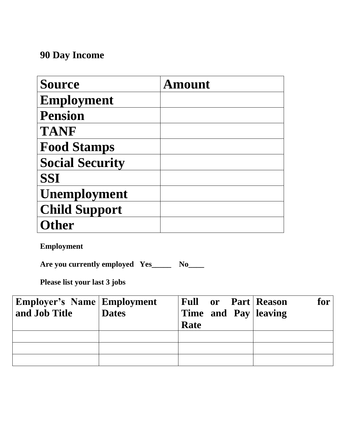# **90 Day Income**

| <b>Source</b>          | <b>Amount</b> |
|------------------------|---------------|
| <b>Employment</b>      |               |
| <b>Pension</b>         |               |
| <b>TANF</b>            |               |
| <b>Food Stamps</b>     |               |
| <b>Social Security</b> |               |
| <b>SSI</b>             |               |
| <b>Unemployment</b>    |               |
| <b>Child Support</b>   |               |
| ther)                  |               |

**Employment**

**Are you currently employed Yes\_\_\_\_\_ No\_\_\_\_**

**Please list your last 3 jobs**

| <b>Employer's Name Employment</b><br>and Job Title | <b>Dates</b> | <b>Full or Part Reason</b><br>Time and Pay leaving<br>Rate | for |
|----------------------------------------------------|--------------|------------------------------------------------------------|-----|
|                                                    |              |                                                            |     |
|                                                    |              |                                                            |     |
|                                                    |              |                                                            |     |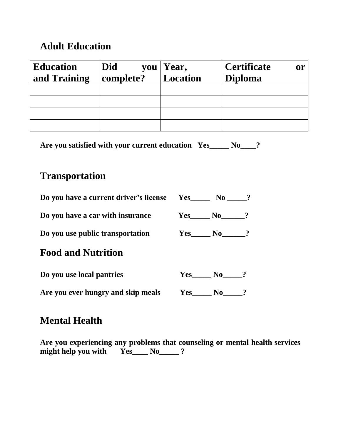## **Adult Education**

| <b>Education</b><br>and Training | Did<br>complete? | you Year,<br>Location | <b>Certificate</b><br><b>or</b><br><b>Diploma</b> |
|----------------------------------|------------------|-----------------------|---------------------------------------------------|
|                                  |                  |                       |                                                   |
|                                  |                  |                       |                                                   |
|                                  |                  |                       |                                                   |
|                                  |                  |                       |                                                   |

**Are you satisfied with your current education Yes\_\_\_\_\_ No\_\_\_\_?**

#### **Transportation**

| Do you have a current driver's license Yes |     | $\mathbf{No}$ ? |  |
|--------------------------------------------|-----|-----------------|--|
| Do you have a car with insurance           |     | Yes No ?        |  |
| Do you use public transportation           |     | $Yes$ $No$ ?    |  |
| <b>Food and Nutrition</b>                  |     |                 |  |
| Do you use local pantries                  | Yes | No -            |  |

Are you ever hungry and skip meals Yes\_\_\_\_\_ No\_\_\_\_?

#### **Mental Health**

**Are you experiencing any problems that counseling or mental health services might help you with Yes\_\_\_\_ No\_\_\_\_\_ ?**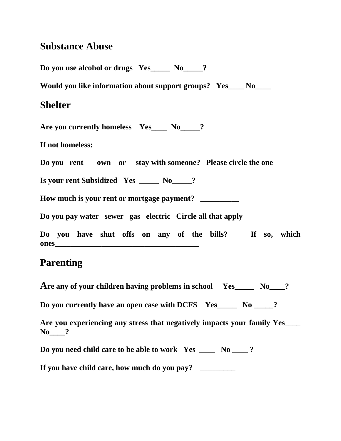## **Substance Abuse**

| Do you use alcohol or drugs Yes_____ No____?                    |
|-----------------------------------------------------------------|
| Would you like information about support groups? Yes____ No____ |
| <b>Shelter</b>                                                  |
| Are you currently homeless Yes___ No____?                       |
| If not homeless:                                                |
| Do you rent own or stay with someone? Please circle the one     |
| Is your rent Subsidized Yes ____ No___?                         |
| How much is your rent or mortgage payment? _________            |
| Do you pay water sewer gas electric Circle all that apply       |
| Do you have shut offs on any of the bills? If so, which         |
| <b>Parenting</b>                                                |

| Are any of your children having problems in school $Yes$ $\sim$ No $\sim$ ?                |
|--------------------------------------------------------------------------------------------|
| Do you currently have an open case with DCFS Yes ______ No _____?                          |
| Are you experiencing any stress that negatively impacts your family Yes<br>$\mathbf{No}$ ? |
| Do you need child care to be able to work Yes _____ No ____?                               |
| If you have child care, how much do you pay?                                               |